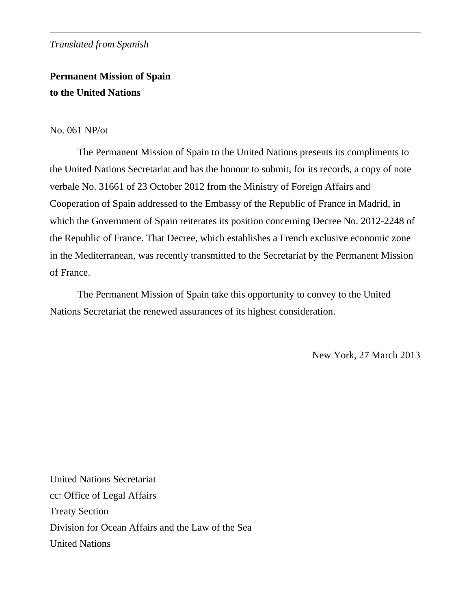## *Translated from Spanish*

# **Permanent Mission of Spain to the United Nations**

### No. 061 NP/ot

 The Permanent Mission of Spain to the United Nations presents its compliments to the United Nations Secretariat and has the honour to submit, for its records, a copy of note verbale No. 31661 of 23 October 2012 from the Ministry of Foreign Affairs and Cooperation of Spain addressed to the Embassy of the Republic of France in Madrid, in which the Government of Spain reiterates its position concerning Decree No. 2012-2248 of the Republic of France. That Decree, which establishes a French exclusive economic zone in the Mediterranean, was recently transmitted to the Secretariat by the Permanent Mission of France.

 The Permanent Mission of Spain take this opportunity to convey to the United Nations Secretariat the renewed assurances of its highest consideration.

New York, 27 March 2013

United Nations Secretariat cc: Office of Legal Affairs Treaty Section Division for Ocean Affairs and the Law of the Sea United Nations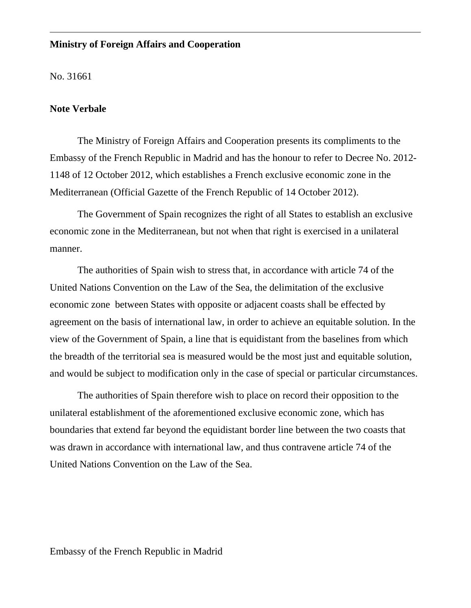## **Ministry of Foreign Affairs and Cooperation**

No. 31661

#### **Note Verbale**

 The Ministry of Foreign Affairs and Cooperation presents its compliments to the Embassy of the French Republic in Madrid and has the honour to refer to Decree No. 2012- 1148 of 12 October 2012, which establishes a French exclusive economic zone in the Mediterranean (Official Gazette of the French Republic of 14 October 2012).

 The Government of Spain recognizes the right of all States to establish an exclusive economic zone in the Mediterranean, but not when that right is exercised in a unilateral manner.

 The authorities of Spain wish to stress that, in accordance with article 74 of the United Nations Convention on the Law of the Sea, the delimitation of the exclusive economic zone between States with opposite or adjacent coasts shall be effected by agreement on the basis of international law, in order to achieve an equitable solution. In the view of the Government of Spain, a line that is equidistant from the baselines from which the breadth of the territorial sea is measured would be the most just and equitable solution, and would be subject to modification only in the case of special or particular circumstances.

 The authorities of Spain therefore wish to place on record their opposition to the unilateral establishment of the aforementioned exclusive economic zone, which has boundaries that extend far beyond the equidistant border line between the two coasts that was drawn in accordance with international law, and thus contravene article 74 of the United Nations Convention on the Law of the Sea.

Embassy of the French Republic in Madrid